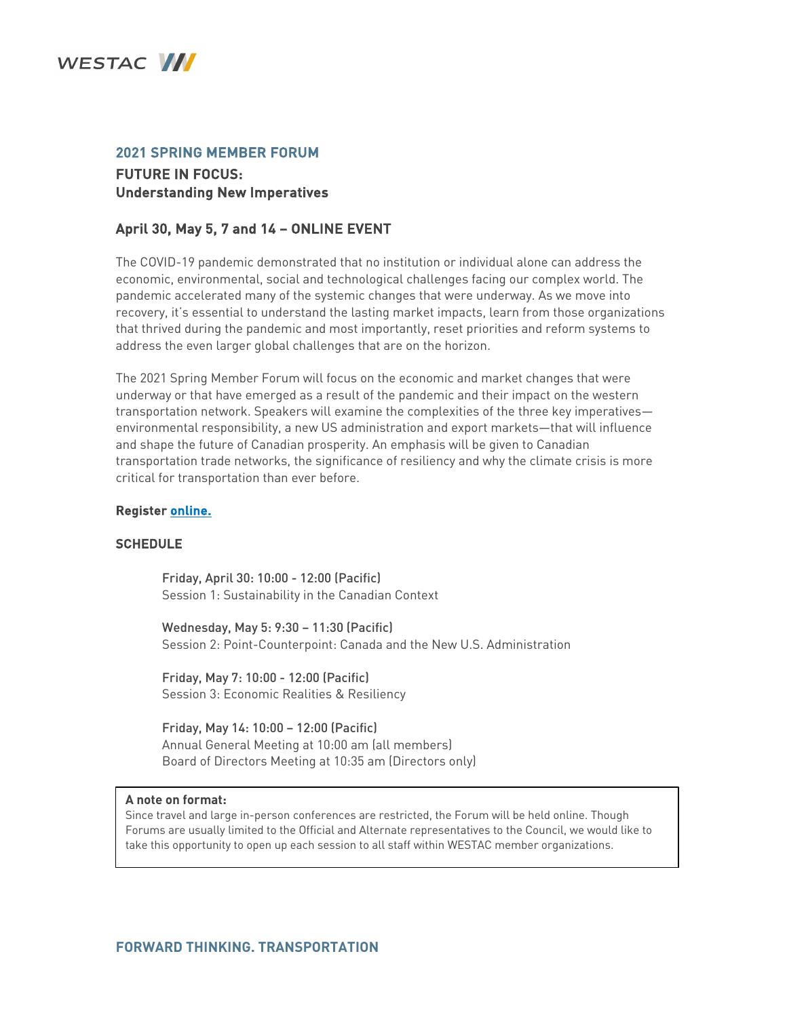

## 2021 SPRING MEMBER FORUM FUTURE IN FOCUS: Understanding New Imperatives

## April 30, May 5, 7 and 14 – ONLINE EVENT

The COVID-19 pandemic demonstrated that no institution or individual alone can address the economic, environmental, social and technological challenges facing our complex world. The pandemic accelerated many of the systemic changes that were underway. As we move into recovery, it's essential to understand the lasting market impacts, learn from those organizations that thrived during the pandemic and most importantly, reset priorities and reform systems to address the even larger global challenges that are on the horizon.

The 2021 Spring Member Forum will focus on the economic and market changes that were underway or that have emerged as a result of the pandemic and their impact on the western transportation network. Speakers will examine the complexities of the three key imperatives environmental responsibility, a new US administration and export markets—that will influence and shape the future of Canadian prosperity. An emphasis will be given to Canadian transportation trade networks, the significance of resiliency and why the climate crisis is more critical for transportation than ever before.

## Register [online.](https://cvent.me/gROerG)

## **SCHEDULE**

Friday, April 30: 10:00 - 12:00 (Pacific) Session 1: Sustainability in the Canadian Context

Wednesday, May 5: 9:30 – 11:30 (Pacific) Session 2: Point-Counterpoint: Canada and the New U.S. Administration

Friday, May 7: 10:00 - 12:00 (Pacific) Session 3: Economic Realities & Resiliency

Friday, May 14: 10:00 – 12:00 (Pacific) Annual General Meeting at 10:00 am (all members) Board of Directors Meeting at 10:35 am (Directors only)

#### **A note on format:**

Since travel and large in-person conferences are restricted, the Forum will be held online. Though Forums are usually limited to the Official and Alternate representatives to the Council, we would like to take this opportunity to open up each session to all staff within WESTAC member organizations.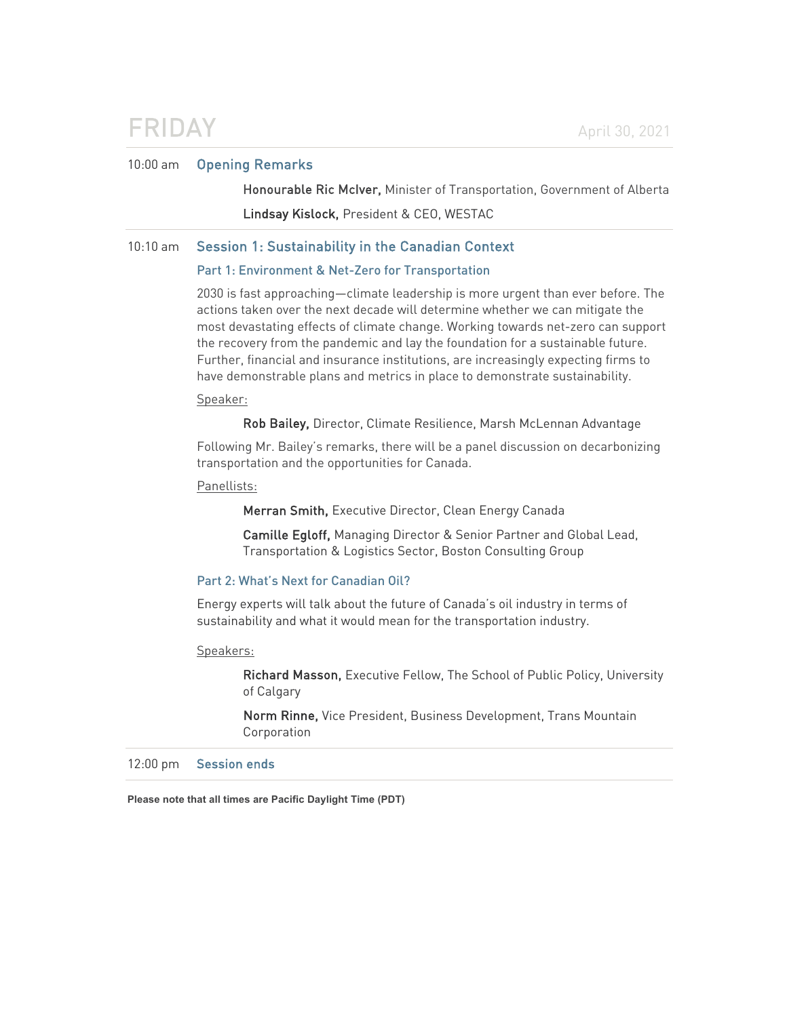## FRIDAY April 30, 2021

## 10:00 am Opening Remarks

Honourable Ric McIver, Minister of Transportation, Government of Alberta Lindsay Kislock, President & CEO, WESTAC

## 10:10 am Session 1: Sustainability in the Canadian Context

### Part 1: Environment & Net-Zero for Transportation

2030 is fast approaching—climate leadership is more urgent than ever before. The actions taken over the next decade will determine whether we can mitigate the most devastating effects of climate change. Working towards net-zero can support the recovery from the pandemic and lay the foundation for a sustainable future. Further, financial and insurance institutions, are increasingly expecting firms to have demonstrable plans and metrics in place to demonstrate sustainability.

### Speaker:

Rob Bailey, Director, Climate Resilience, Marsh McLennan Advantage

Following Mr. Bailey's remarks, there will be a panel discussion on decarbonizing transportation and the opportunities for Canada.

## Panellists:

Merran Smith, Executive Director, Clean Energy Canada

Camille Egloff, Managing Director & Senior Partner and Global Lead, Transportation & Logistics Sector, Boston Consulting Group

## Part 2: What's Next for Canadian Oil?

Energy experts will talk about the future of Canada's oil industry in terms of sustainability and what it would mean for the transportation industry.

#### Speakers:

Richard Masson, Executive Fellow, The School of Public Policy, University of Calgary

Norm Rinne, Vice President, Business Development, Trans Mountain Corporation

12:00 pm Session ends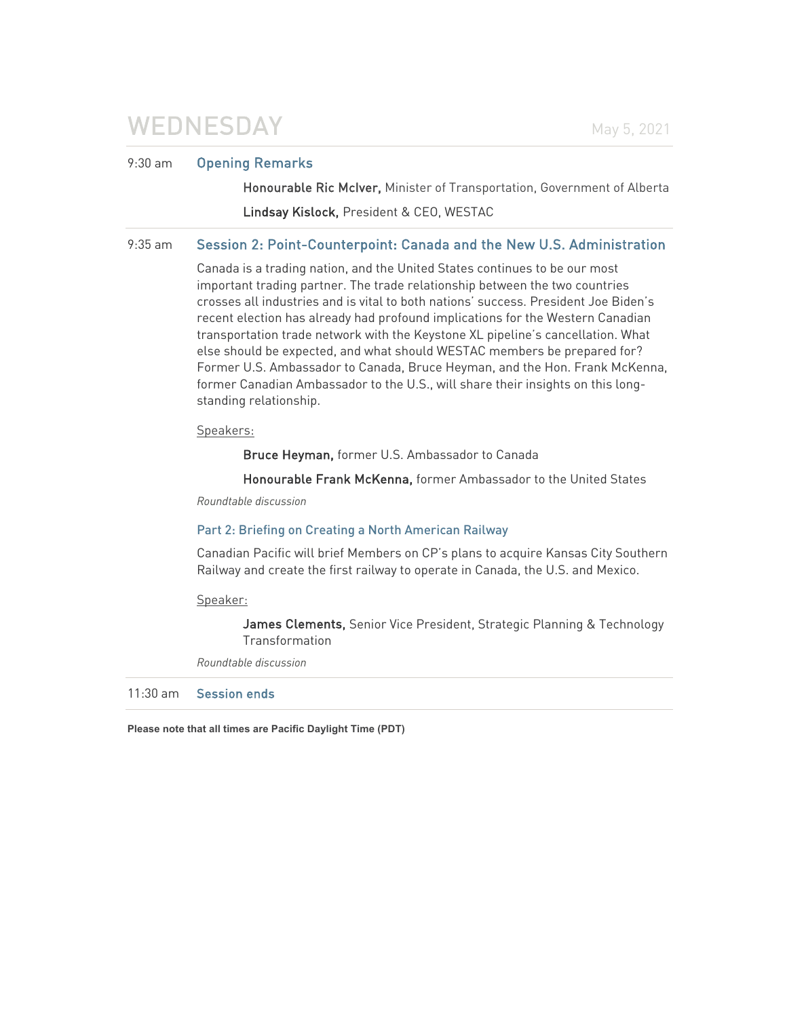# WEDNESDAY May 5, 2021

## 9:30 am Opening Remarks

Honourable Ric McIver, Minister of Transportation, Government of Alberta Lindsay Kislock, President & CEO, WESTAC

## 9:35 am Session 2: Point-Counterpoint: Canada and the New U.S. Administration

Canada is a trading nation, and the United States continues to be our most important trading partner. The trade relationship between the two countries crosses all industries and is vital to both nations' success. President Joe Biden's recent election has already had profound implications for the Western Canadian transportation trade network with the Keystone XL pipeline's cancellation. What else should be expected, and what should WESTAC members be prepared for? Former U.S. Ambassador to Canada, Bruce Heyman, and the Hon. Frank McKenna, former Canadian Ambassador to the U.S., will share their insights on this longstanding relationship.

## Speakers:

Bruce Heyman, former U.S. Ambassador to Canada

Honourable Frank McKenna, former Ambassador to the United States

*Roundtable discussion*

## Part 2: Briefing on Creating a North American Railway

Canadian Pacific will brief Members on CP's plans to acquire Kansas City Southern Railway and create the first railway to operate in Canada, the U.S. and Mexico.

Speaker:

James Clements, Senior Vice President, Strategic Planning & Technology Transformation

*Roundtable discussion*

11:30 am Session ends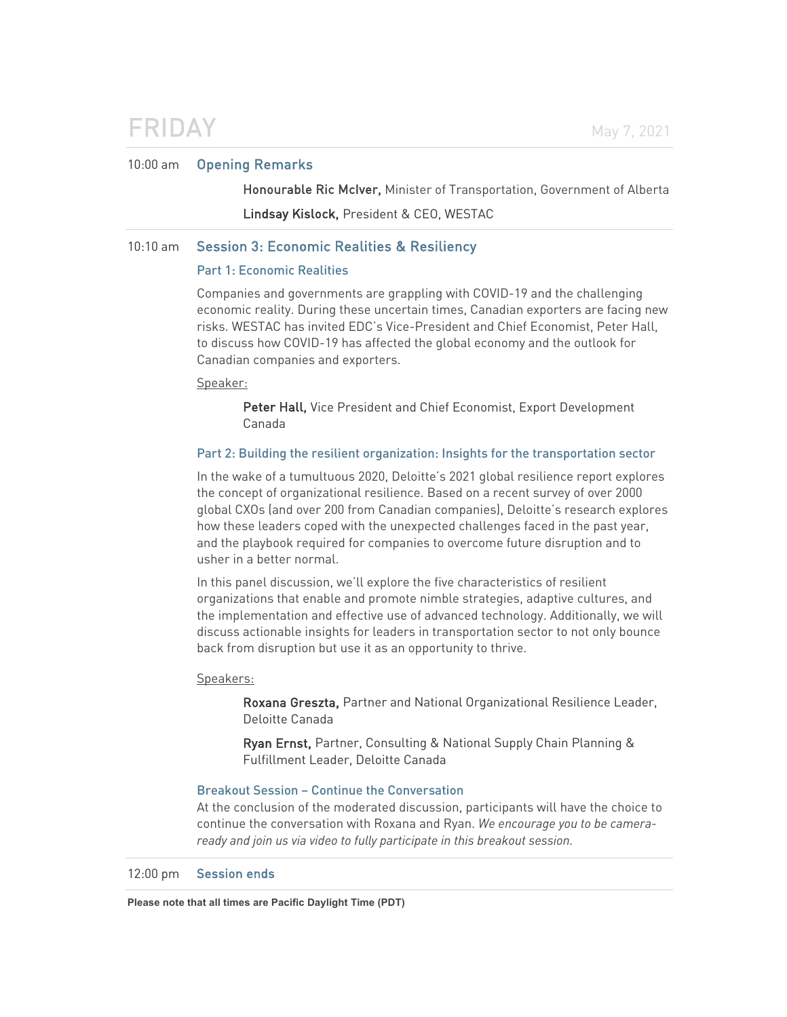## FRIDAY May 7, 2021

## 10:00 am Opening Remarks

Honourable Ric McIver, Minister of Transportation, Government of Alberta Lindsay Kislock, President & CEO, WESTAC

## 10:10 am Session 3: Economic Realities & Resiliency

### Part 1: Economic Realities

Companies and governments are grappling with COVID-19 and the challenging economic reality. During these uncertain times, Canadian exporters are facing new risks. WESTAC has invited EDC's Vice-President and Chief Economist, Peter Hall, to discuss how COVID-19 has affected the global economy and the outlook for Canadian companies and exporters.

#### Speaker:

Peter Hall, Vice President and Chief Economist, Export Development Canada

### Part 2: Building the resilient organization: Insights for the transportation sector

In the wake of a tumultuous 2020, Deloitte's 2021 global resilience report explores the concept of organizational resilience. Based on a recent survey of over 2000 global CXOs (and over 200 from Canadian companies), Deloitte's research explores how these leaders coped with the unexpected challenges faced in the past year, and the playbook required for companies to overcome future disruption and to usher in a better normal.

In this panel discussion, we'll explore the five characteristics of resilient organizations that enable and promote nimble strategies, adaptive cultures, and the implementation and effective use of advanced technology. Additionally, we will discuss actionable insights for leaders in transportation sector to not only bounce back from disruption but use it as an opportunity to thrive.

### Speakers:

Roxana Greszta, Partner and National Organizational Resilience Leader, Deloitte Canada

 Ryan Ernst, Partner, Consulting & National Supply Chain Planning & Fulfillment Leader, Deloitte Canada

## Breakout Session – Continue the Conversation

At the conclusion of the moderated discussion, participants will have the choice to continue the conversation with Roxana and Ryan. *We encourage you to be cameraready and join us via video to fully participate in this breakout session.*

12:00 pm Session ends